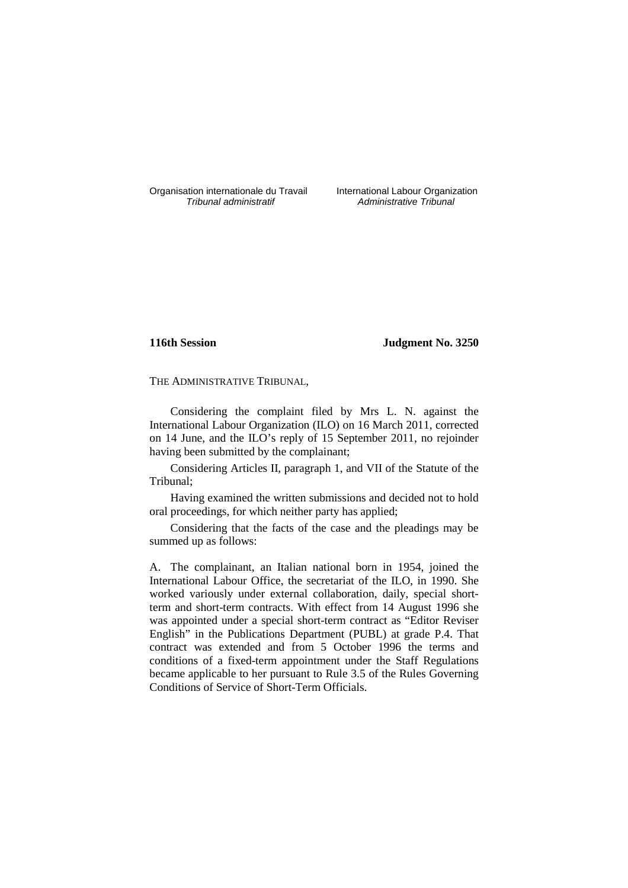Organisation internationale du Travail International Labour Organization<br>*Tribunal administratif* Administrative Tribunal

Administrative Tribunal

# **116th Session Judgment No. 3250**

THE ADMINISTRATIVE TRIBUNAL,

Considering the complaint filed by Mrs L. N. against the International Labour Organization (ILO) on 16 March 2011, corrected on 14 June, and the ILO's reply of 15 September 2011, no rejoinder having been submitted by the complainant;

Considering Articles II, paragraph 1, and VII of the Statute of the Tribunal;

Having examined the written submissions and decided not to hold oral proceedings, for which neither party has applied;

Considering that the facts of the case and the pleadings may be summed up as follows:

A. The complainant, an Italian national born in 1954, joined the International Labour Office, the secretariat of the ILO, in 1990. She worked variously under external collaboration, daily, special shortterm and short-term contracts. With effect from 14 August 1996 she was appointed under a special short-term contract as "Editor Reviser English" in the Publications Department (PUBL) at grade P.4. That contract was extended and from 5 October 1996 the terms and conditions of a fixed-term appointment under the Staff Regulations became applicable to her pursuant to Rule 3.5 of the Rules Governing Conditions of Service of Short-Term Officials.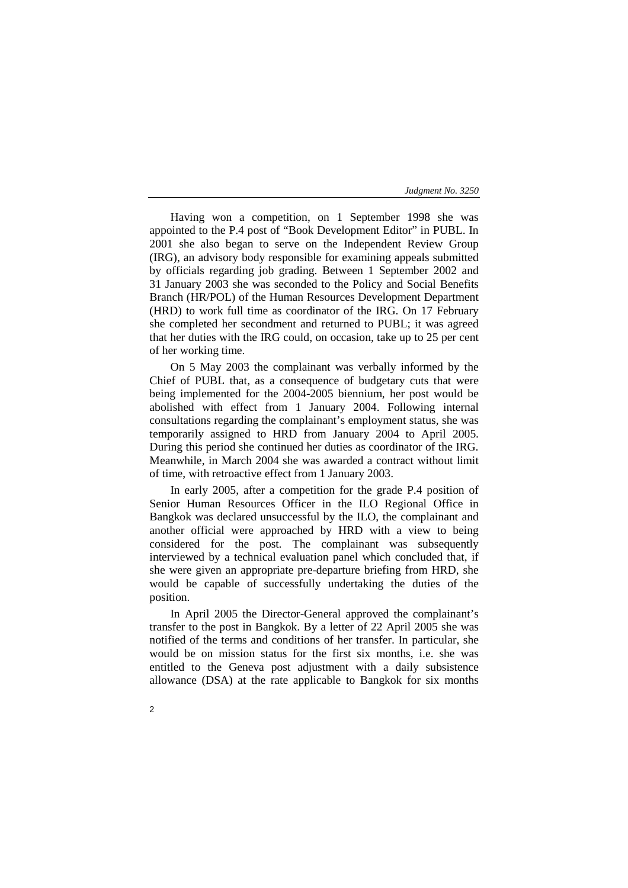Having won a competition, on 1 September 1998 she was appointed to the P.4 post of "Book Development Editor" in PUBL. In 2001 she also began to serve on the Independent Review Group (IRG), an advisory body responsible for examining appeals submitted by officials regarding job grading. Between 1 September 2002 and 31 January 2003 she was seconded to the Policy and Social Benefits Branch (HR/POL) of the Human Resources Development Department (HRD) to work full time as coordinator of the IRG. On 17 February she completed her secondment and returned to PUBL; it was agreed that her duties with the IRG could, on occasion, take up to 25 per cent of her working time.

On 5 May 2003 the complainant was verbally informed by the Chief of PUBL that, as a consequence of budgetary cuts that were being implemented for the 2004-2005 biennium, her post would be abolished with effect from 1 January 2004. Following internal consultations regarding the complainant's employment status, she was temporarily assigned to HRD from January 2004 to April 2005. During this period she continued her duties as coordinator of the IRG. Meanwhile, in March 2004 she was awarded a contract without limit of time, with retroactive effect from 1 January 2003.

In early 2005, after a competition for the grade P.4 position of Senior Human Resources Officer in the ILO Regional Office in Bangkok was declared unsuccessful by the ILO, the complainant and another official were approached by HRD with a view to being considered for the post. The complainant was subsequently interviewed by a technical evaluation panel which concluded that, if she were given an appropriate pre-departure briefing from HRD, she would be capable of successfully undertaking the duties of the position.

In April 2005 the Director-General approved the complainant's transfer to the post in Bangkok. By a letter of 22 April 2005 she was notified of the terms and conditions of her transfer. In particular, she would be on mission status for the first six months, i.e. she was entitled to the Geneva post adjustment with a daily subsistence allowance (DSA) at the rate applicable to Bangkok for six months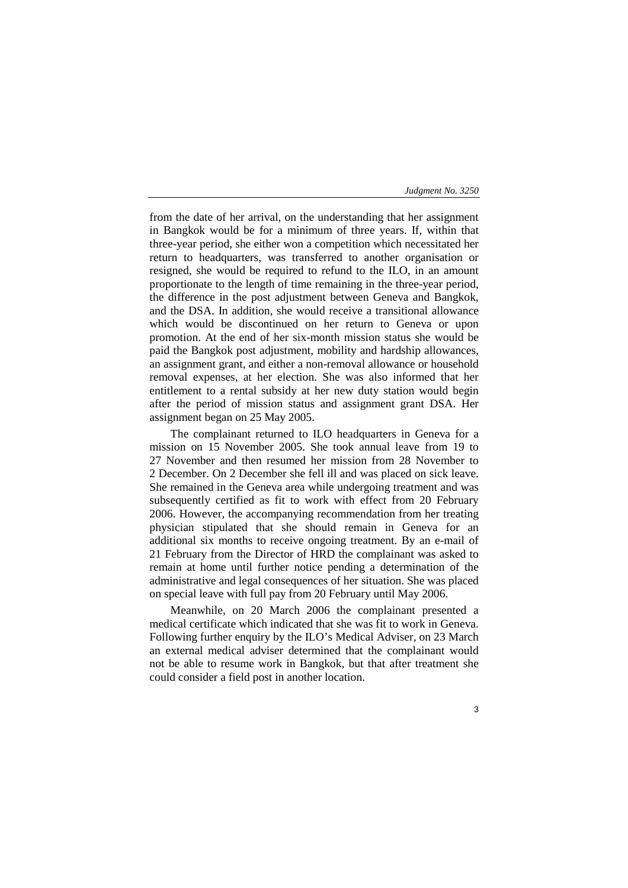from the date of her arrival, on the understanding that her assignment in Bangkok would be for a minimum of three years. If, within that three-year period, she either won a competition which necessitated her return to headquarters, was transferred to another organisation or resigned, she would be required to refund to the ILO, in an amount proportionate to the length of time remaining in the three-year period, the difference in the post adjustment between Geneva and Bangkok, and the DSA. In addition, she would receive a transitional allowance which would be discontinued on her return to Geneva or upon promotion. At the end of her six-month mission status she would be paid the Bangkok post adjustment, mobility and hardship allowances, an assignment grant, and either a non-removal allowance or household removal expenses, at her election. She was also informed that her entitlement to a rental subsidy at her new duty station would begin after the period of mission status and assignment grant DSA. Her assignment began on 25 May 2005.

The complainant returned to ILO headquarters in Geneva for a mission on 15 November 2005. She took annual leave from 19 to 27 November and then resumed her mission from 28 November to 2 December. On 2 December she fell ill and was placed on sick leave. She remained in the Geneva area while undergoing treatment and was subsequently certified as fit to work with effect from 20 February 2006. However, the accompanying recommendation from her treating physician stipulated that she should remain in Geneva for an additional six months to receive ongoing treatment. By an e-mail of 21 February from the Director of HRD the complainant was asked to remain at home until further notice pending a determination of the administrative and legal consequences of her situation. She was placed on special leave with full pay from 20 February until May 2006.

Meanwhile, on 20 March 2006 the complainant presented a medical certificate which indicated that she was fit to work in Geneva. Following further enquiry by the ILO's Medical Adviser, on 23 March an external medical adviser determined that the complainant would not be able to resume work in Bangkok, but that after treatment she could consider a field post in another location.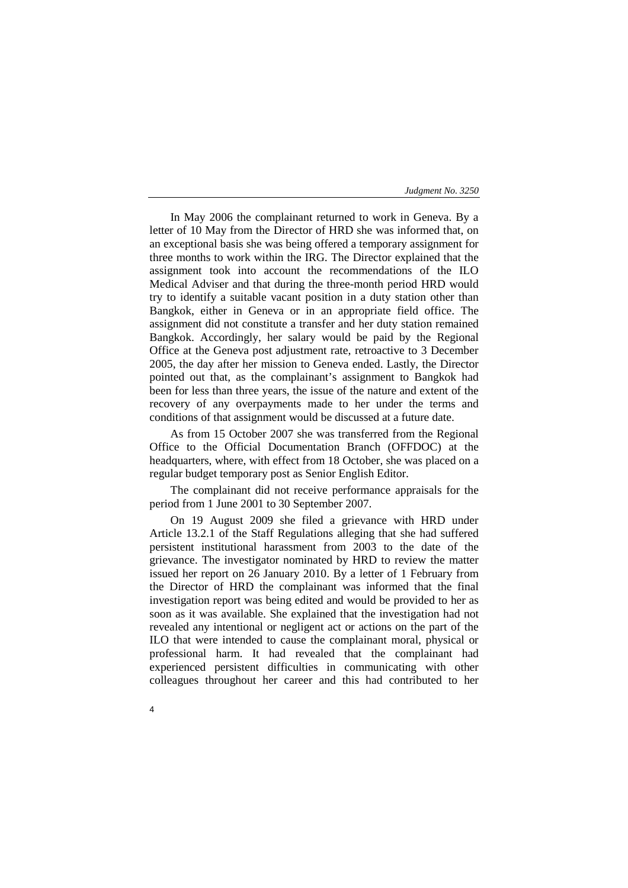In May 2006 the complainant returned to work in Geneva. By a letter of 10 May from the Director of HRD she was informed that, on an exceptional basis she was being offered a temporary assignment for three months to work within the IRG. The Director explained that the assignment took into account the recommendations of the ILO Medical Adviser and that during the three-month period HRD would try to identify a suitable vacant position in a duty station other than Bangkok, either in Geneva or in an appropriate field office. The assignment did not constitute a transfer and her duty station remained Bangkok. Accordingly, her salary would be paid by the Regional Office at the Geneva post adjustment rate, retroactive to 3 December 2005, the day after her mission to Geneva ended. Lastly, the Director pointed out that, as the complainant's assignment to Bangkok had been for less than three years, the issue of the nature and extent of the recovery of any overpayments made to her under the terms and conditions of that assignment would be discussed at a future date.

As from 15 October 2007 she was transferred from the Regional Office to the Official Documentation Branch (OFFDOC) at the headquarters, where, with effect from 18 October, she was placed on a regular budget temporary post as Senior English Editor.

The complainant did not receive performance appraisals for the period from 1 June 2001 to 30 September 2007.

On 19 August 2009 she filed a grievance with HRD under Article 13.2.1 of the Staff Regulations alleging that she had suffered persistent institutional harassment from 2003 to the date of the grievance. The investigator nominated by HRD to review the matter issued her report on 26 January 2010. By a letter of 1 February from the Director of HRD the complainant was informed that the final investigation report was being edited and would be provided to her as soon as it was available. She explained that the investigation had not revealed any intentional or negligent act or actions on the part of the ILO that were intended to cause the complainant moral, physical or professional harm. It had revealed that the complainant had experienced persistent difficulties in communicating with other colleagues throughout her career and this had contributed to her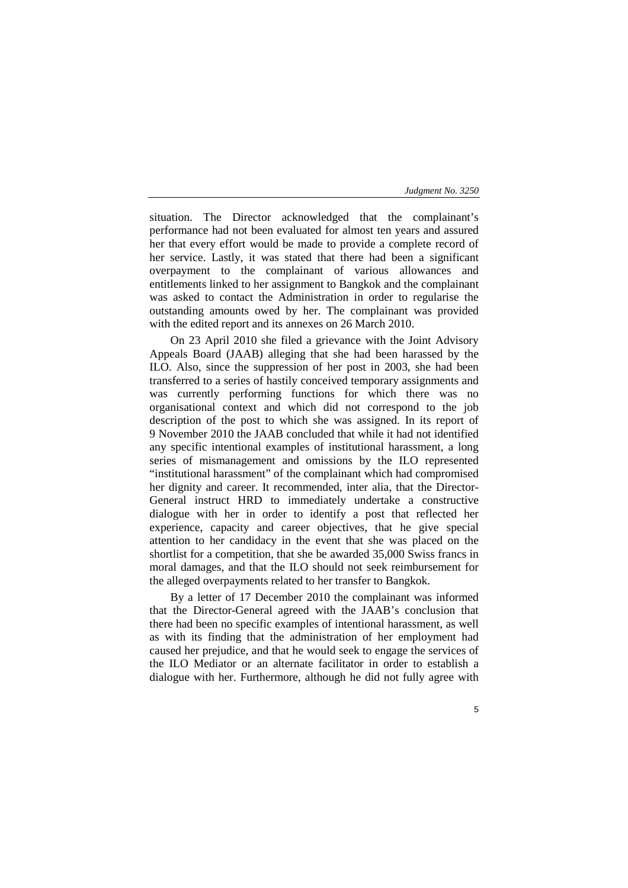situation. The Director acknowledged that the complainant's performance had not been evaluated for almost ten years and assured her that every effort would be made to provide a complete record of her service. Lastly, it was stated that there had been a significant overpayment to the complainant of various allowances and entitlements linked to her assignment to Bangkok and the complainant was asked to contact the Administration in order to regularise the outstanding amounts owed by her. The complainant was provided with the edited report and its annexes on 26 March 2010.

On 23 April 2010 she filed a grievance with the Joint Advisory Appeals Board (JAAB) alleging that she had been harassed by the ILO. Also, since the suppression of her post in 2003, she had been transferred to a series of hastily conceived temporary assignments and was currently performing functions for which there was no organisational context and which did not correspond to the job description of the post to which she was assigned. In its report of 9 November 2010 the JAAB concluded that while it had not identified any specific intentional examples of institutional harassment, a long series of mismanagement and omissions by the ILO represented "institutional harassment" of the complainant which had compromised her dignity and career. It recommended, inter alia, that the Director-General instruct HRD to immediately undertake a constructive dialogue with her in order to identify a post that reflected her experience, capacity and career objectives, that he give special attention to her candidacy in the event that she was placed on the shortlist for a competition, that she be awarded 35,000 Swiss francs in moral damages, and that the ILO should not seek reimbursement for the alleged overpayments related to her transfer to Bangkok.

By a letter of 17 December 2010 the complainant was informed that the Director-General agreed with the JAAB's conclusion that there had been no specific examples of intentional harassment, as well as with its finding that the administration of her employment had caused her prejudice, and that he would seek to engage the services of the ILO Mediator or an alternate facilitator in order to establish a dialogue with her. Furthermore, although he did not fully agree with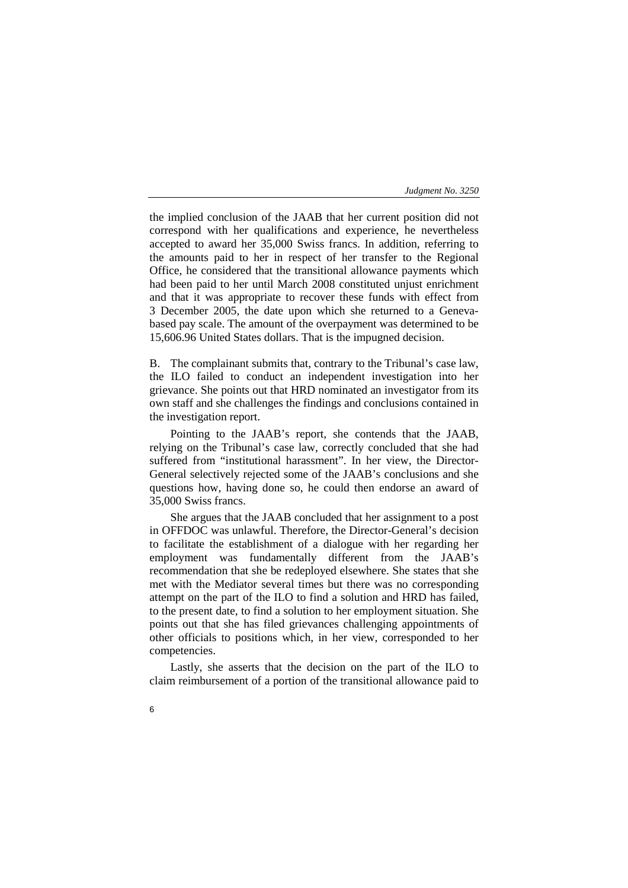the implied conclusion of the JAAB that her current position did not correspond with her qualifications and experience, he nevertheless accepted to award her 35,000 Swiss francs. In addition, referring to the amounts paid to her in respect of her transfer to the Regional Office, he considered that the transitional allowance payments which had been paid to her until March 2008 constituted unjust enrichment and that it was appropriate to recover these funds with effect from 3 December 2005, the date upon which she returned to a Genevabased pay scale. The amount of the overpayment was determined to be 15,606.96 United States dollars. That is the impugned decision.

B. The complainant submits that, contrary to the Tribunal's case law, the ILO failed to conduct an independent investigation into her grievance. She points out that HRD nominated an investigator from its own staff and she challenges the findings and conclusions contained in the investigation report.

Pointing to the JAAB's report, she contends that the JAAB, relying on the Tribunal's case law, correctly concluded that she had suffered from "institutional harassment". In her view, the Director-General selectively rejected some of the JAAB's conclusions and she questions how, having done so, he could then endorse an award of 35,000 Swiss francs.

She argues that the JAAB concluded that her assignment to a post in OFFDOC was unlawful. Therefore, the Director-General's decision to facilitate the establishment of a dialogue with her regarding her employment was fundamentally different from the JAAB's recommendation that she be redeployed elsewhere. She states that she met with the Mediator several times but there was no corresponding attempt on the part of the ILO to find a solution and HRD has failed, to the present date, to find a solution to her employment situation. She points out that she has filed grievances challenging appointments of other officials to positions which, in her view, corresponded to her competencies.

Lastly, she asserts that the decision on the part of the ILO to claim reimbursement of a portion of the transitional allowance paid to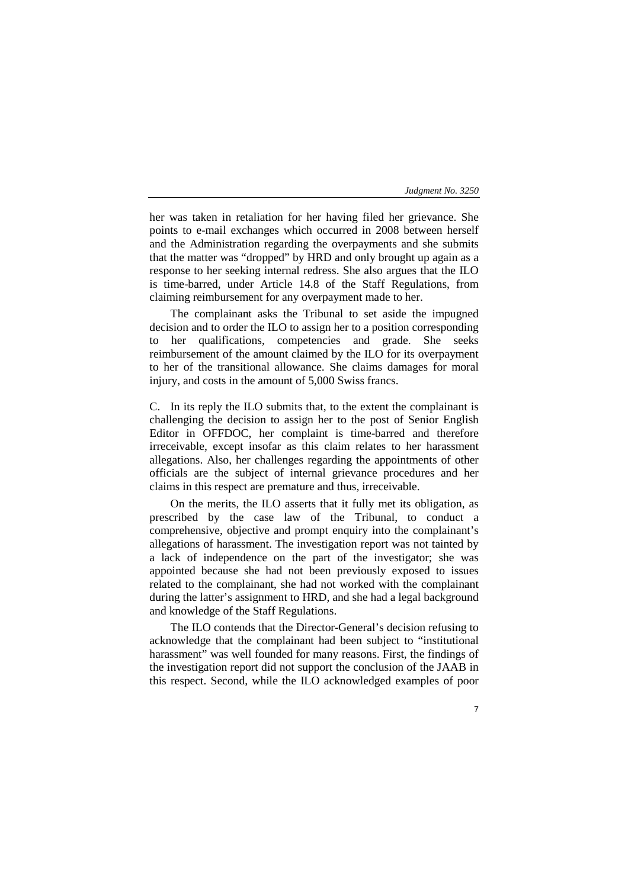7

her was taken in retaliation for her having filed her grievance. She points to e-mail exchanges which occurred in 2008 between herself and the Administration regarding the overpayments and she submits that the matter was "dropped" by HRD and only brought up again as a response to her seeking internal redress. She also argues that the ILO is time-barred, under Article 14.8 of the Staff Regulations, from claiming reimbursement for any overpayment made to her.

The complainant asks the Tribunal to set aside the impugned decision and to order the ILO to assign her to a position corresponding her qualifications, competencies and grade. She seeks reimbursement of the amount claimed by the ILO for its overpayment to her of the transitional allowance. She claims damages for moral injury, and costs in the amount of 5,000 Swiss francs.

C. In its reply the ILO submits that, to the extent the complainant is challenging the decision to assign her to the post of Senior English Editor in OFFDOC, her complaint is time-barred and therefore irreceivable, except insofar as this claim relates to her harassment allegations. Also, her challenges regarding the appointments of other officials are the subject of internal grievance procedures and her claims in this respect are premature and thus, irreceivable.

On the merits, the ILO asserts that it fully met its obligation, as prescribed by the case law of the Tribunal, to conduct a comprehensive, objective and prompt enquiry into the complainant's allegations of harassment. The investigation report was not tainted by a lack of independence on the part of the investigator; she was appointed because she had not been previously exposed to issues related to the complainant, she had not worked with the complainant during the latter's assignment to HRD, and she had a legal background and knowledge of the Staff Regulations.

The ILO contends that the Director-General's decision refusing to acknowledge that the complainant had been subject to "institutional harassment" was well founded for many reasons. First, the findings of the investigation report did not support the conclusion of the JAAB in this respect. Second, while the ILO acknowledged examples of poor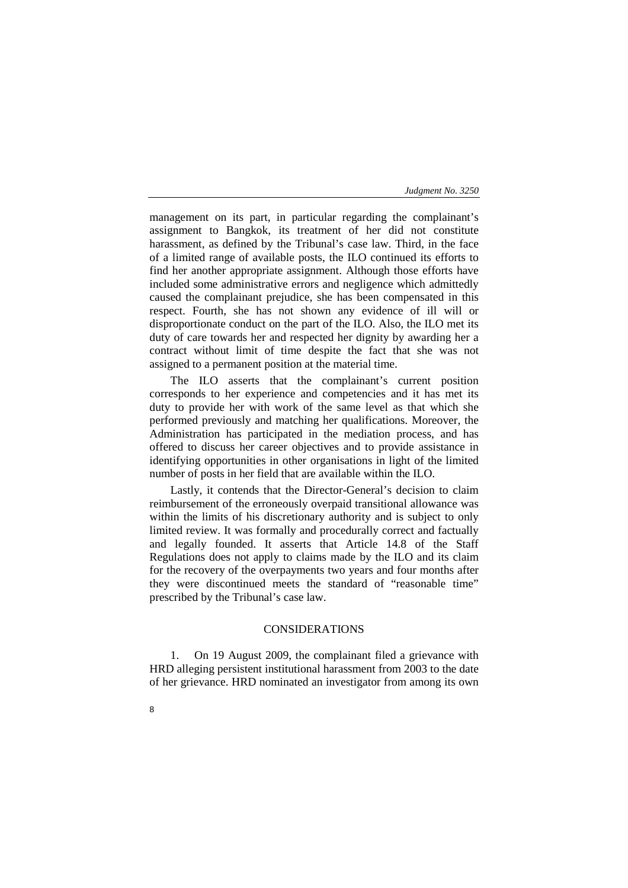management on its part, in particular regarding the complainant's assignment to Bangkok, its treatment of her did not constitute harassment, as defined by the Tribunal's case law. Third, in the face of a limited range of available posts, the ILO continued its efforts to find her another appropriate assignment. Although those efforts have included some administrative errors and negligence which admittedly caused the complainant prejudice, she has been compensated in this respect. Fourth, she has not shown any evidence of ill will or disproportionate conduct on the part of the ILO. Also, the ILO met its duty of care towards her and respected her dignity by awarding her a contract without limit of time despite the fact that she was not assigned to a permanent position at the material time.

The ILO asserts that the complainant's current position corresponds to her experience and competencies and it has met its duty to provide her with work of the same level as that which she performed previously and matching her qualifications. Moreover, the Administration has participated in the mediation process, and has offered to discuss her career objectives and to provide assistance in identifying opportunities in other organisations in light of the limited number of posts in her field that are available within the ILO.

Lastly, it contends that the Director-General's decision to claim reimbursement of the erroneously overpaid transitional allowance was within the limits of his discretionary authority and is subject to only limited review. It was formally and procedurally correct and factually and legally founded. It asserts that Article 14.8 of the Staff Regulations does not apply to claims made by the ILO and its claim for the recovery of the overpayments two years and four months after they were discontinued meets the standard of "reasonable time" prescribed by the Tribunal's case law.

# CONSIDERATIONS

1. On 19 August 2009, the complainant filed a grievance with HRD alleging persistent institutional harassment from 2003 to the date of her grievance. HRD nominated an investigator from among its own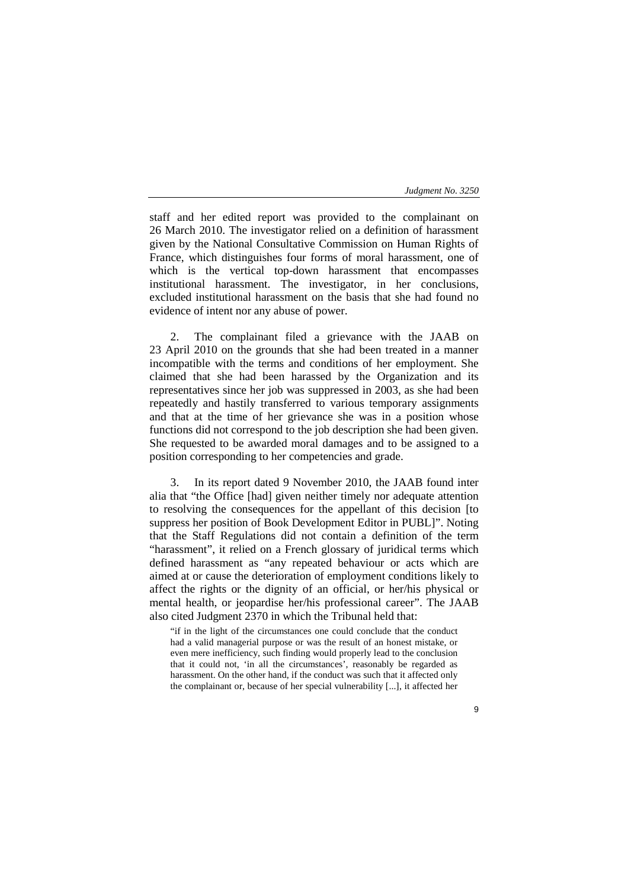staff and her edited report was provided to the complainant on 26 March 2010. The investigator relied on a definition of harassment given by the National Consultative Commission on Human Rights of France, which distinguishes four forms of moral harassment, one of which is the vertical top-down harassment that encompasses institutional harassment. The investigator, in her conclusions, excluded institutional harassment on the basis that she had found no evidence of intent nor any abuse of power.

2. The complainant filed a grievance with the JAAB on 23 April 2010 on the grounds that she had been treated in a manner incompatible with the terms and conditions of her employment. She claimed that she had been harassed by the Organization and its representatives since her job was suppressed in 2003, as she had been repeatedly and hastily transferred to various temporary assignments and that at the time of her grievance she was in a position whose functions did not correspond to the job description she had been given. She requested to be awarded moral damages and to be assigned to a position corresponding to her competencies and grade.

3. In its report dated 9 November 2010, the JAAB found inter alia that "the Office [had] given neither timely nor adequate attention to resolving the consequences for the appellant of this decision [to suppress her position of Book Development Editor in PUBL]". Noting that the Staff Regulations did not contain a definition of the term "harassment", it relied on a French glossary of juridical terms which defined harassment as "any repeated behaviour or acts which are aimed at or cause the deterioration of employment conditions likely to affect the rights or the dignity of an official, or her/his physical or mental health, or jeopardise her/his professional career". The JAAB also cited Judgment 2370 in which the Tribunal held that:

"if in the light of the circumstances one could conclude that the conduct had a valid managerial purpose or was the result of an honest mistake, or even mere inefficiency, such finding would properly lead to the conclusion that it could not, 'in all the circumstances', reasonably be regarded as harassment. On the other hand, if the conduct was such that it affected only the complainant or, because of her special vulnerability [...], it affected her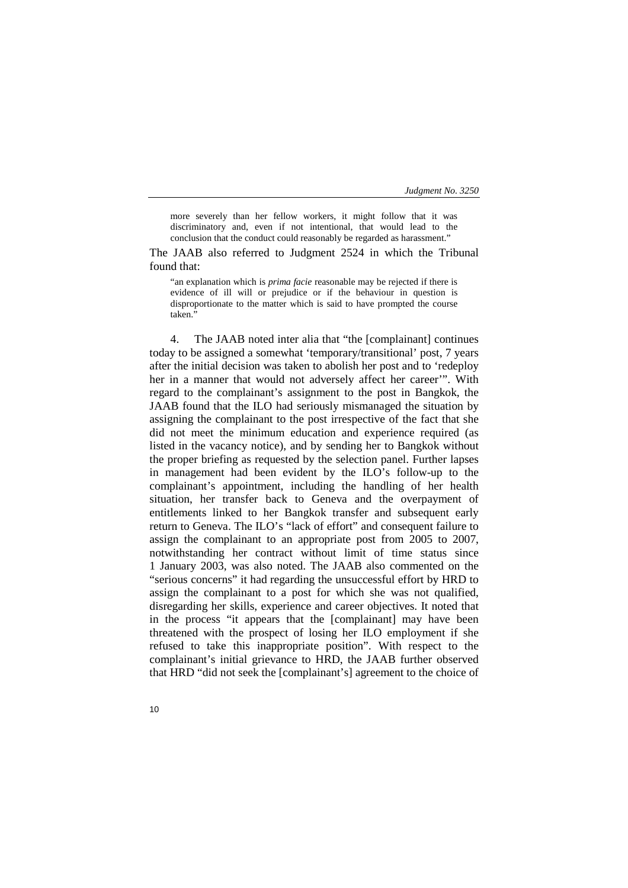more severely than her fellow workers, it might follow that it was discriminatory and, even if not intentional, that would lead to the conclusion that the conduct could reasonably be regarded as harassment."

The JAAB also referred to Judgment 2524 in which the Tribunal found that:

"an explanation which is *prima facie* reasonable may be rejected if there is evidence of ill will or prejudice or if the behaviour in question is disproportionate to the matter which is said to have prompted the course taken.'

4. The JAAB noted inter alia that "the [complainant] continues today to be assigned a somewhat 'temporary/transitional' post, 7 years after the initial decision was taken to abolish her post and to 'redeploy her in a manner that would not adversely affect her career'". With regard to the complainant's assignment to the post in Bangkok, the JAAB found that the ILO had seriously mismanaged the situation by assigning the complainant to the post irrespective of the fact that she did not meet the minimum education and experience required (as listed in the vacancy notice), and by sending her to Bangkok without the proper briefing as requested by the selection panel. Further lapses in management had been evident by the ILO's follow-up to the complainant's appointment, including the handling of her health situation, her transfer back to Geneva and the overpayment of entitlements linked to her Bangkok transfer and subsequent early return to Geneva. The ILO's "lack of effort" and consequent failure to assign the complainant to an appropriate post from 2005 to 2007, notwithstanding her contract without limit of time status since 1 January 2003, was also noted. The JAAB also commented on the "serious concerns" it had regarding the unsuccessful effort by HRD to assign the complainant to a post for which she was not qualified, disregarding her skills, experience and career objectives. It noted that in the process "it appears that the [complainant] may have been threatened with the prospect of losing her ILO employment if she refused to take this inappropriate position". With respect to the complainant's initial grievance to HRD, the JAAB further observed that HRD "did not seek the [complainant's] agreement to the choice of

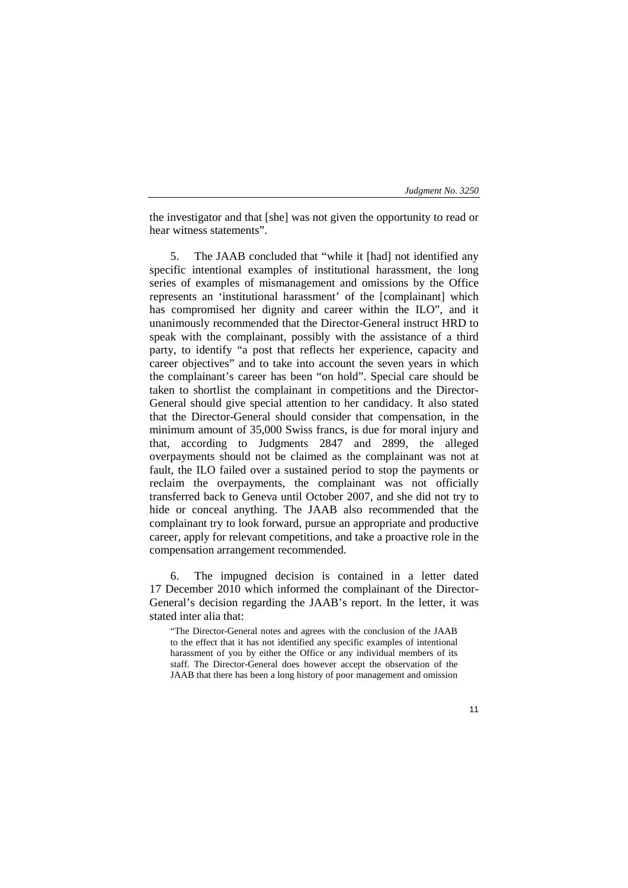the investigator and that [she] was not given the opportunity to read or hear witness statements".

5. The JAAB concluded that "while it [had] not identified any specific intentional examples of institutional harassment, the long series of examples of mismanagement and omissions by the Office represents an 'institutional harassment' of the [complainant] which has compromised her dignity and career within the ILO", and it unanimously recommended that the Director-General instruct HRD to speak with the complainant, possibly with the assistance of a third party, to identify "a post that reflects her experience, capacity and career objectives" and to take into account the seven years in which the complainant's career has been "on hold". Special care should be taken to shortlist the complainant in competitions and the Director-General should give special attention to her candidacy. It also stated that the Director-General should consider that compensation, in the minimum amount of 35,000 Swiss francs, is due for moral injury and that, according to Judgments 2847 and 2899, the alleged overpayments should not be claimed as the complainant was not at fault, the ILO failed over a sustained period to stop the payments or reclaim the overpayments, the complainant was not officially transferred back to Geneva until October 2007, and she did not try to hide or conceal anything. The JAAB also recommended that the complainant try to look forward, pursue an appropriate and productive career, apply for relevant competitions, and take a proactive role in the compensation arrangement recommended.

6. The impugned decision is contained in a letter dated 17 December 2010 which informed the complainant of the Director-General's decision regarding the JAAB's report. In the letter, it was stated inter alia that:

"The Director-General notes and agrees with the conclusion of the JAAB to the effect that it has not identified any specific examples of intentional harassment of you by either the Office or any individual members of its staff. The Director-General does however accept the observation of the JAAB that there has been a long history of poor management and omission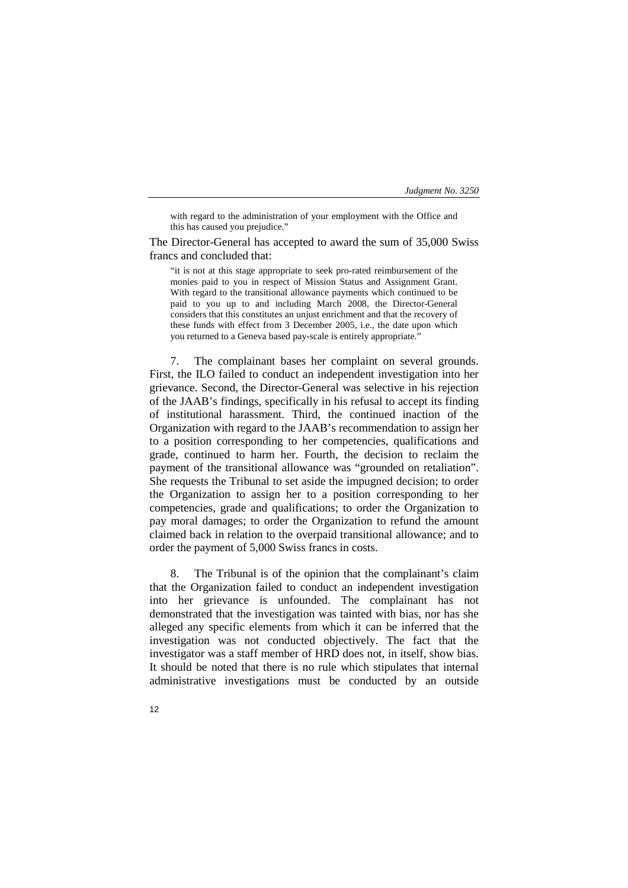with regard to the administration of your employment with the Office and this has caused you prejudice."

The Director-General has accepted to award the sum of 35,000 Swiss francs and concluded that:

"it is not at this stage appropriate to seek pro-rated reimbursement of the monies paid to you in respect of Mission Status and Assignment Grant. With regard to the transitional allowance payments which continued to be paid to you up to and including March 2008, the Director-General considers that this constitutes an unjust enrichment and that the recovery of these funds with effect from 3 December 2005, i.e., the date upon which you returned to a Geneva based pay-scale is entirely appropriate."

7. The complainant bases her complaint on several grounds. First, the ILO failed to conduct an independent investigation into her grievance. Second, the Director-General was selective in his rejection of the JAAB's findings, specifically in his refusal to accept its finding of institutional harassment. Third, the continued inaction of the Organization with regard to the JAAB's recommendation to assign her to a position corresponding to her competencies, qualifications and grade, continued to harm her. Fourth, the decision to reclaim the payment of the transitional allowance was "grounded on retaliation". She requests the Tribunal to set aside the impugned decision; to order the Organization to assign her to a position corresponding to her competencies, grade and qualifications; to order the Organization to pay moral damages; to order the Organization to refund the amount claimed back in relation to the overpaid transitional allowance; and to order the payment of 5,000 Swiss francs in costs.

8. The Tribunal is of the opinion that the complainant's claim that the Organization failed to conduct an independent investigation into her grievance is unfounded. The complainant has not demonstrated that the investigation was tainted with bias, nor has she alleged any specific elements from which it can be inferred that the investigation was not conducted objectively. The fact that the investigator was a staff member of HRD does not, in itself, show bias. It should be noted that there is no rule which stipulates that internal administrative investigations must be conducted by an outside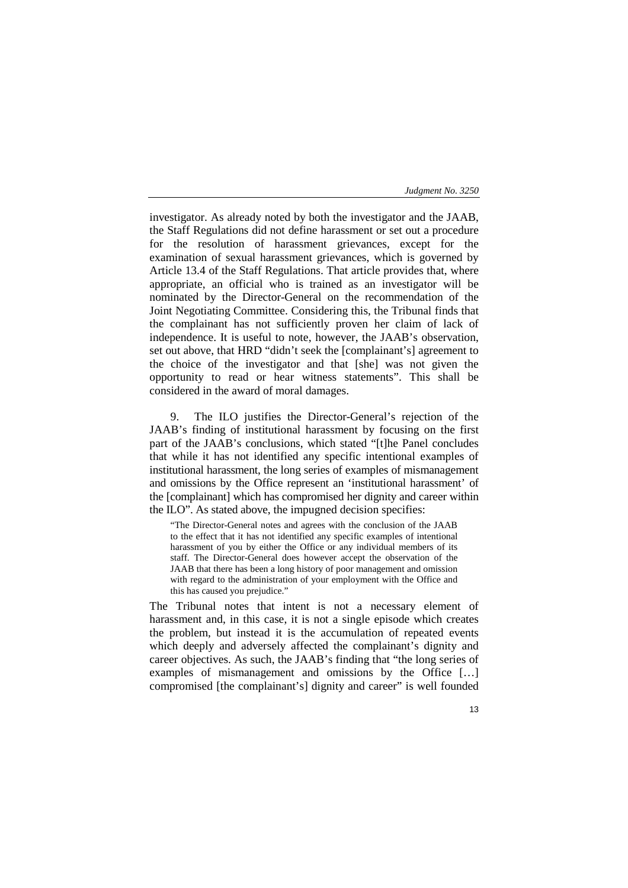investigator. As already noted by both the investigator and the JAAB, the Staff Regulations did not define harassment or set out a procedure for the resolution of harassment grievances, except for the examination of sexual harassment grievances, which is governed by Article 13.4 of the Staff Regulations. That article provides that, where appropriate, an official who is trained as an investigator will be nominated by the Director-General on the recommendation of the Joint Negotiating Committee. Considering this, the Tribunal finds that the complainant has not sufficiently proven her claim of lack of independence. It is useful to note, however, the JAAB's observation, set out above, that HRD "didn't seek the [complainant's] agreement to the choice of the investigator and that [she] was not given the opportunity to read or hear witness statements". This shall be considered in the award of moral damages.

9. The ILO justifies the Director-General's rejection of the JAAB's finding of institutional harassment by focusing on the first part of the JAAB's conclusions, which stated "[t]he Panel concludes that while it has not identified any specific intentional examples of institutional harassment, the long series of examples of mismanagement and omissions by the Office represent an 'institutional harassment' of the [complainant] which has compromised her dignity and career within the ILO". As stated above, the impugned decision specifies:

"The Director-General notes and agrees with the conclusion of the JAAB to the effect that it has not identified any specific examples of intentional harassment of you by either the Office or any individual members of its staff. The Director-General does however accept the observation of the JAAB that there has been a long history of poor management and omission with regard to the administration of your employment with the Office and this has caused you prejudice."

The Tribunal notes that intent is not a necessary element of harassment and, in this case, it is not a single episode which creates the problem, but instead it is the accumulation of repeated events which deeply and adversely affected the complainant's dignity and career objectives. As such, the JAAB's finding that "the long series of examples of mismanagement and omissions by the Office […] compromised [the complainant's] dignity and career" is well founded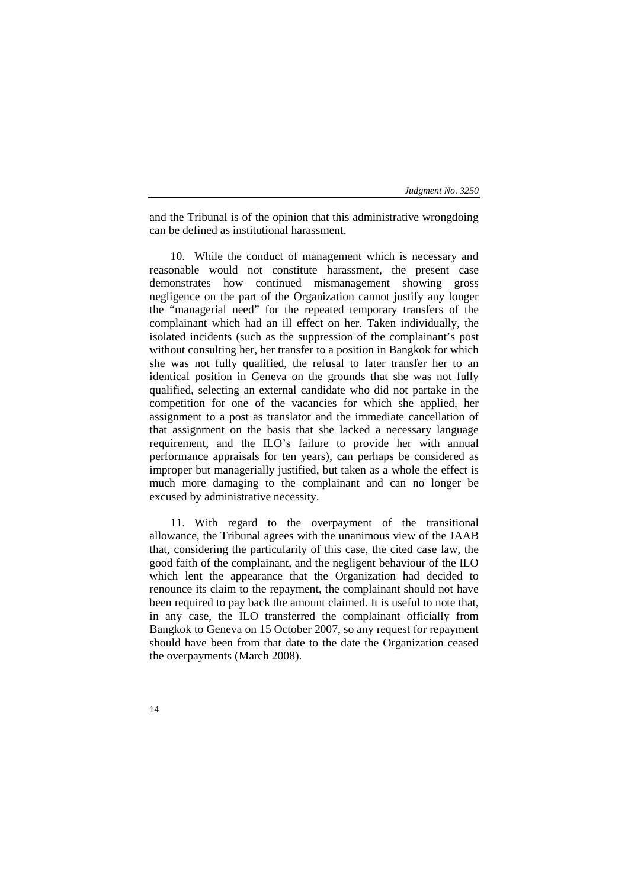and the Tribunal is of the opinion that this administrative wrongdoing can be defined as institutional harassment.

10. While the conduct of management which is necessary and reasonable would not constitute harassment, the present case demonstrates how continued mismanagement showing gross negligence on the part of the Organization cannot justify any longer the "managerial need" for the repeated temporary transfers of the complainant which had an ill effect on her. Taken individually, the isolated incidents (such as the suppression of the complainant's post without consulting her, her transfer to a position in Bangkok for which she was not fully qualified, the refusal to later transfer her to an identical position in Geneva on the grounds that she was not fully qualified, selecting an external candidate who did not partake in the competition for one of the vacancies for which she applied, her assignment to a post as translator and the immediate cancellation of that assignment on the basis that she lacked a necessary language requirement, and the ILO's failure to provide her with annual performance appraisals for ten years), can perhaps be considered as improper but managerially justified, but taken as a whole the effect is much more damaging to the complainant and can no longer be excused by administrative necessity.

11. With regard to the overpayment of the transitional allowance, the Tribunal agrees with the unanimous view of the JAAB that, considering the particularity of this case, the cited case law, the good faith of the complainant, and the negligent behaviour of the ILO which lent the appearance that the Organization had decided to renounce its claim to the repayment, the complainant should not have been required to pay back the amount claimed. It is useful to note that, in any case, the ILO transferred the complainant officially from Bangkok to Geneva on 15 October 2007, so any request for repayment should have been from that date to the date the Organization ceased the overpayments (March 2008).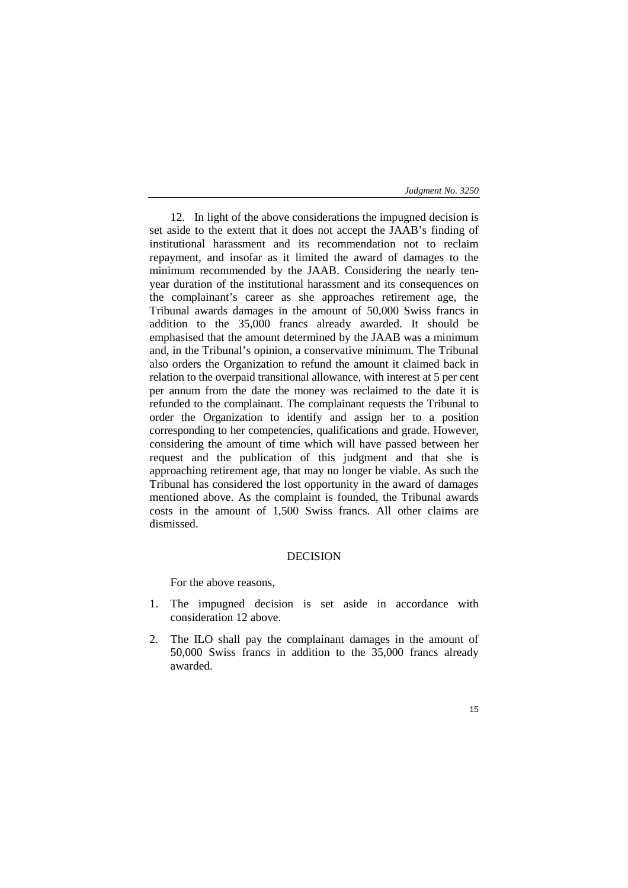12. In light of the above considerations the impugned decision is set aside to the extent that it does not accept the JAAB's finding of institutional harassment and its recommendation not to reclaim repayment, and insofar as it limited the award of damages to the minimum recommended by the JAAB. Considering the nearly tenyear duration of the institutional harassment and its consequences on the complainant's career as she approaches retirement age, the Tribunal awards damages in the amount of 50,000 Swiss francs in addition to the 35,000 francs already awarded. It should be emphasised that the amount determined by the JAAB was a minimum and, in the Tribunal's opinion, a conservative minimum. The Tribunal also orders the Organization to refund the amount it claimed back in relation to the overpaid transitional allowance, with interest at 5 per cent per annum from the date the money was reclaimed to the date it is refunded to the complainant. The complainant requests the Tribunal to order the Organization to identify and assign her to a position corresponding to her competencies, qualifications and grade. However, considering the amount of time which will have passed between her request and the publication of this judgment and that she is approaching retirement age, that may no longer be viable. As such the Tribunal has considered the lost opportunity in the award of damages mentioned above. As the complaint is founded, the Tribunal awards costs in the amount of 1,500 Swiss francs. All other claims are dismissed.

## DECISION

For the above reasons,

- 1. The impugned decision is set aside in accordance with consideration 12 above.
- 2. The ILO shall pay the complainant damages in the amount of 50,000 Swiss francs in addition to the 35,000 francs already awarded.